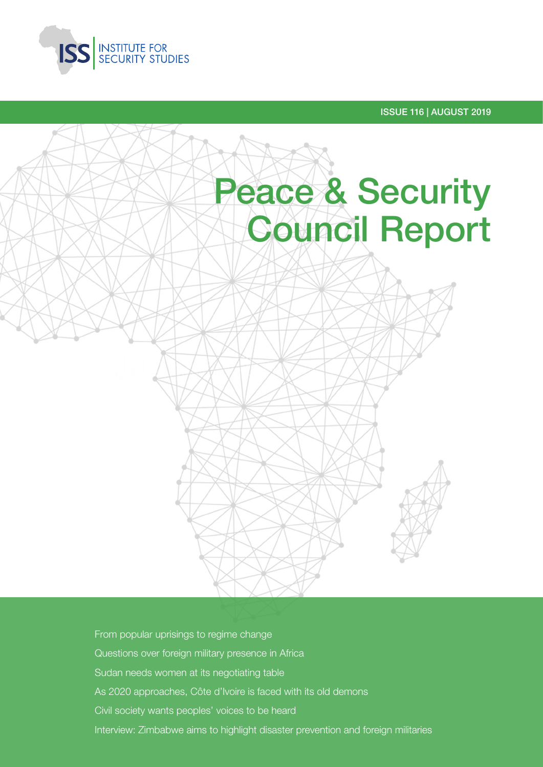

ISSUE 116 | AUGUST 2019



From popular uprisings to regime change Questions over foreign military presence in Africa Sudan needs women at its negotiating table As 2020 approaches, Côte d'Ivoire is faced with its old demons Civil society wants peoples' voices to be heard Interview: Zimbabwe aims to highlight disaster prevention and foreign militaries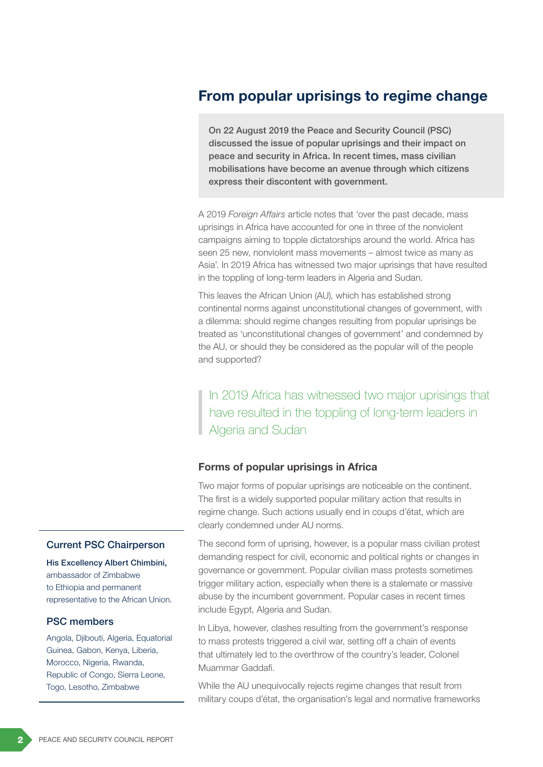## From popular uprisings to regime change

On 22 August 2019 the Peace and Security Council (PSC) discussed the issue of popular uprisings and their impact on peace and security in Africa. In recent times, mass civilian mobilisations have become an avenue through which citizens express their discontent with government.

A 2019 *Foreign Affairs* article notes that 'over the past decade, mass uprisings in Africa have accounted for one in three of the nonviolent campaigns aiming to topple dictatorships around the world. Africa has seen 25 new, nonviolent mass movements – almost twice as many as Asia'. In 2019 Africa has witnessed two major uprisings that have resulted in the toppling of long-term leaders in Algeria and Sudan.

This leaves the African Union (AU), which has established strong continental norms against unconstitutional changes of government, with a dilemma: should regime changes resulting from popular uprisings be treated as 'unconstitutional changes of government' and condemned by the AU, or should they be considered as the popular will of the people and supported?

In 2019 Africa has witnessed two major uprisings that have resulted in the toppling of long-term leaders in Algeria and Sudan

#### Forms of popular uprisings in Africa

Two major forms of popular uprisings are noticeable on the continent. The first is a widely supported popular military action that results in regime change. Such actions usually end in coups d'état, which are clearly condemned under AU norms.

The second form of uprising, however, is a popular mass civilian protest demanding respect for civil, economic and political rights or changes in governance or government. Popular civilian mass protests sometimes trigger military action, especially when there is a stalemate or massive abuse by the incumbent government. Popular cases in recent times include Egypt, Algeria and Sudan.

In Libya, however, clashes resulting from the government's response to mass protests triggered a civil war, setting off a chain of events that ultimately led to the overthrow of the country's leader, Colonel Muammar Gaddafi.

While the AU unequivocally rejects regime changes that result from military coups d'état, the organisation's legal and normative frameworks

#### Current PSC Chairperson

His Excellency Albert Chimbini, ambassador of Zimbabwe to Ethiopia and permanent representative to the African Union.

#### PSC members

Angola, Djibouti, Algeria, Equatorial Guinea, Gabon, Kenya, Liberia, Morocco, Nigeria, Rwanda, Republic of Congo, Sierra Leone, Togo, Lesotho, Zimbabwe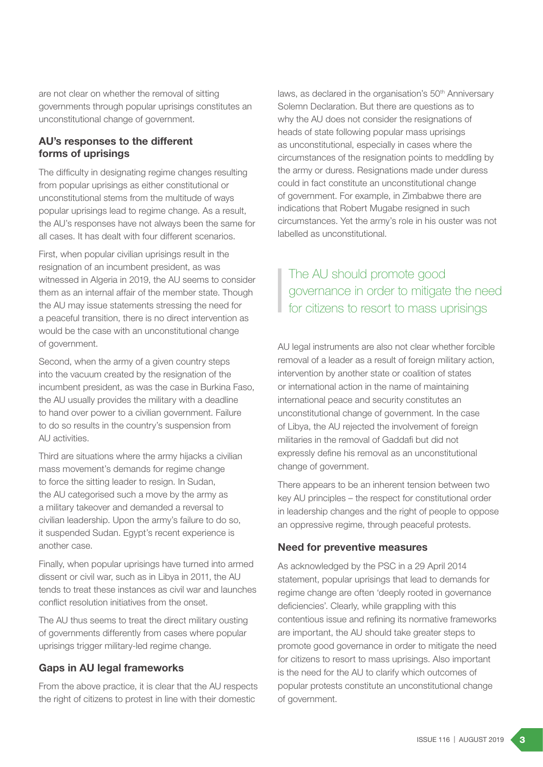are not clear on whether the removal of sitting governments through popular uprisings constitutes an unconstitutional change of government.

### AU's responses to the different forms of uprisings

The difficulty in designating regime changes resulting from popular uprisings as either constitutional or unconstitutional stems from the multitude of ways popular uprisings lead to regime change. As a result, the AU's responses have not always been the same for all cases. It has dealt with four different scenarios.

First, when popular civilian uprisings result in the resignation of an incumbent president, as was witnessed in Algeria in 2019, the AU seems to consider them as an internal affair of the member state. Though the AU may issue statements stressing the need for a peaceful transition, there is no direct intervention as would be the case with an unconstitutional change of government.

Second, when the army of a given country steps into the vacuum created by the resignation of the incumbent president, as was the case in Burkina Faso, the AU usually provides the military with a deadline to hand over power to a civilian government. Failure to do so results in the country's suspension from AU activities.

Third are situations where the army hijacks a civilian mass movement's demands for regime change to force the sitting leader to resign. In Sudan, the AU categorised such a move by the army as a military takeover and demanded a reversal to civilian leadership. Upon the army's failure to do so, it suspended Sudan. Egypt's recent experience is another case.

Finally, when popular uprisings have turned into armed dissent or civil war, such as in Libya in 2011, the AU tends to treat these instances as civil war and launches conflict resolution initiatives from the onset.

The AU thus seems to treat the direct military ousting of governments differently from cases where popular uprisings trigger military-led regime change.

### Gaps in AU legal frameworks

From the above practice, it is clear that the AU respects the right of citizens to protest in line with their domestic

laws, as declared in the organisation's 50<sup>th</sup> Anniversary Solemn Declaration. But there are questions as to why the AU does not consider the resignations of heads of state following popular mass uprisings as unconstitutional, especially in cases where the circumstances of the resignation points to meddling by the army or duress. Resignations made under duress could in fact constitute an unconstitutional change of government. For example, in Zimbabwe there are indications that Robert Mugabe resigned in such circumstances. Yet the army's role in his ouster was not labelled as unconstitutional.

### The AU should promote good governance in order to mitigate the need for citizens to resort to mass uprisings

AU legal instruments are also not clear whether forcible removal of a leader as a result of foreign military action, intervention by another state or coalition of states or international action in the name of maintaining international peace and security constitutes an unconstitutional change of government. In the case of Libya, the AU rejected the involvement of foreign militaries in the removal of Gaddafi but did not expressly define his removal as an unconstitutional change of government.

There appears to be an inherent tension between two key AU principles – the respect for constitutional order in leadership changes and the right of people to oppose an oppressive regime, through peaceful protests.

### Need for preventive measures

As acknowledged by the PSC in a 29 April 2014 statement, popular uprisings that lead to demands for regime change are often 'deeply rooted in governance deficiencies'. Clearly, while grappling with this contentious issue and refining its normative frameworks are important, the AU should take greater steps to promote good governance in order to mitigate the need for citizens to resort to mass uprisings. Also important is the need for the AU to clarify which outcomes of popular protests constitute an unconstitutional change of government.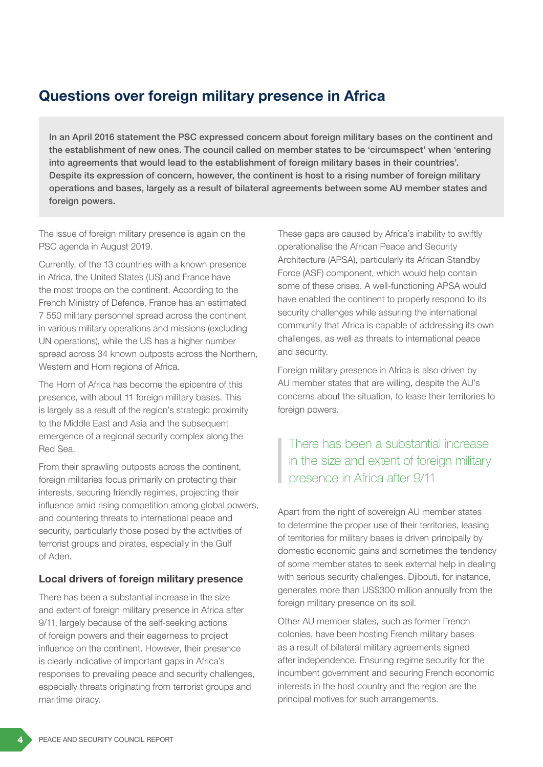## Questions over foreign military presence in Africa

In an April 2016 statement the PSC expressed concern about foreign military bases on the continent and the establishment of new ones. The council called on member states to be 'circumspect' when 'entering into agreements that would lead to the establishment of foreign military bases in their countries'. Despite its expression of concern, however, the continent is host to a rising number of foreign military operations and bases, largely as a result of bilateral agreements between some AU member states and foreign powers.

The issue of foreign military presence is again on the PSC agenda in August 2019.

Currently, of the 13 countries with a known presence in Africa, the United States (US) and France have the most troops on the continent. According to the French Ministry of Defence, France has an estimated 7 550 military personnel spread across the continent in various military operations and missions (excluding UN operations), while the US has a higher number spread across 34 known outposts across the Northern, Western and Horn regions of Africa.

The Horn of Africa has become the epicentre of this presence, with about 11 foreign military bases. This is largely as a result of the region's strategic proximity to the Middle East and Asia and the subsequent emergence of a regional security complex along the Red Sea.

From their sprawling outposts across the continent, foreign militaries focus primarily on protecting their interests, securing friendly regimes, projecting their influence amid rising competition among global powers, and countering threats to international peace and security, particularly those posed by the activities of terrorist groups and pirates, especially in the Gulf of Aden.

### Local drivers of foreign military presence

There has been a substantial increase in the size and extent of foreign military presence in Africa after 9/11, largely because of the self-seeking actions of foreign powers and their eagerness to project influence on the continent. However, their presence is clearly indicative of important gaps in Africa's responses to prevailing peace and security challenges, especially threats originating from terrorist groups and maritime piracy.

These gaps are caused by Africa's inability to swiftly operationalise the African Peace and Security Architecture (APSA), particularly its African Standby Force (ASF) component, which would help contain some of these crises. A well-functioning APSA would have enabled the continent to properly respond to its security challenges while assuring the international community that Africa is capable of addressing its own challenges, as well as threats to international peace and security.

Foreign military presence in Africa is also driven by AU member states that are willing, despite the AU's concerns about the situation, to lease their territories to foreign powers.

### There has been a substantial increase in the size and extent of foreign military presence in Africa after 9/11

Apart from the right of sovereign AU member states to determine the proper use of their territories, leasing of territories for military bases is driven principally by domestic economic gains and sometimes the tendency of some member states to seek external help in dealing with serious security challenges. Djibouti, for instance, generates more than US\$300 million annually from the foreign military presence on its soil.

Other AU member states, such as former French colonies, have been hosting French military bases as a result of bilateral military agreements signed after independence. Ensuring regime security for the incumbent government and securing French economic interests in the host country and the region are the principal motives for such arrangements.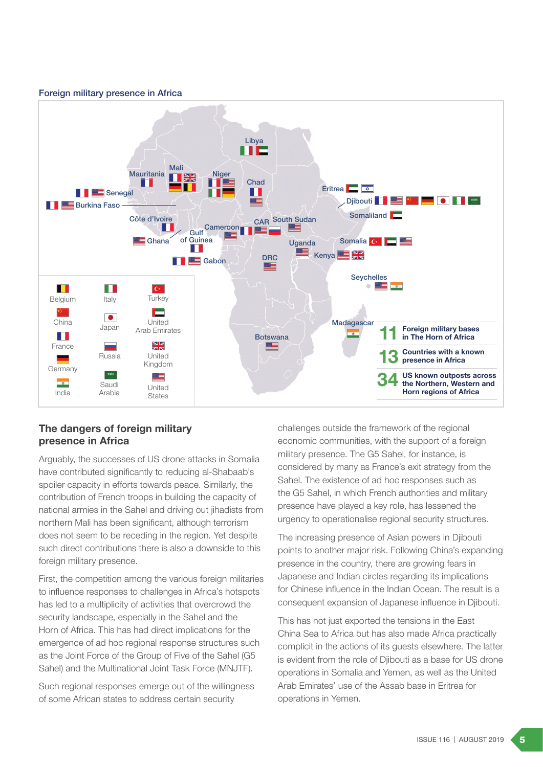#### Foreign military presence in Africa



### The dangers of foreign military presence in Africa

Arguably, the successes of US drone attacks in Somalia have contributed significantly to reducing al-Shabaab's spoiler capacity in efforts towards peace. Similarly, the contribution of French troops in building the capacity of national armies in the Sahel and driving out jihadists from northern Mali has been significant, although terrorism does not seem to be receding in the region. Yet despite such direct contributions there is also a downside to this foreign military presence.

First, the competition among the various foreign militaries to influence responses to challenges in Africa's hotspots has led to a multiplicity of activities that overcrowd the security landscape, especially in the Sahel and the Horn of Africa. This has had direct implications for the emergence of ad hoc regional response structures such as the Joint Force of the Group of Five of the Sahel (G5 Sahel) and the Multinational Joint Task Force (MNJTF).

Such regional responses emerge out of the willingness of some African states to address certain security

challenges outside the framework of the regional economic communities, with the support of a foreign military presence. The G5 Sahel, for instance, is considered by many as France's exit strategy from the Sahel. The existence of ad hoc responses such as the G5 Sahel, in which French authorities and military presence have played a key role, has lessened the urgency to operationalise regional security structures.

The increasing presence of Asian powers in Diibouti points to another major risk. Following China's expanding presence in the country, there are growing fears in Japanese and Indian circles regarding its implications for Chinese influence in the Indian Ocean. The result is a consequent expansion of Japanese influence in Djibouti.

This has not just exported the tensions in the East China Sea to Africa but has also made Africa practically complicit in the actions of its guests elsewhere. The latter is evident from the role of Djibouti as a base for US drone operations in Somalia and Yemen, as well as the United Arab Emirates' use of the Assab base in Eritrea for operations in Yemen.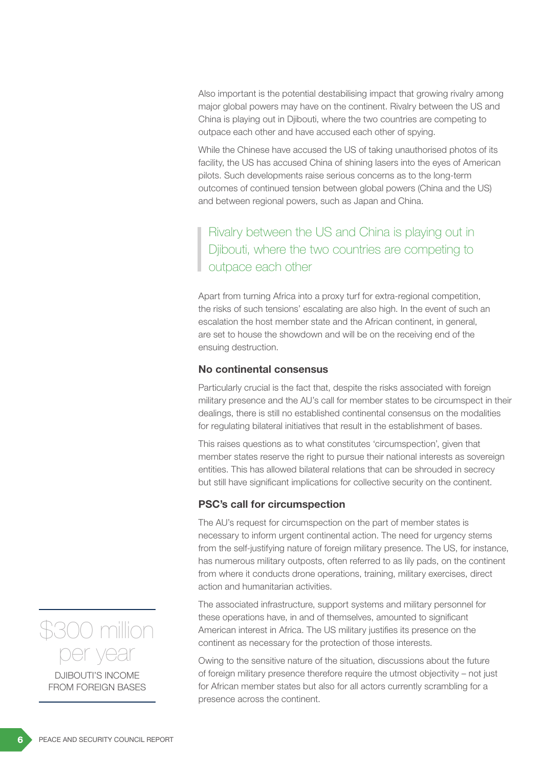Also important is the potential destabilising impact that growing rivalry among major global powers may have on the continent. Rivalry between the US and China is playing out in Djibouti, where the two countries are competing to outpace each other and have accused each other of spying.

While the Chinese have accused the US of taking unauthorised photos of its facility, the US has accused China of shining lasers into the eyes of American pilots. Such developments raise serious concerns as to the long-term outcomes of continued tension between global powers (China and the US) and between regional powers, such as Japan and China.

Rivalry between the US and China is playing out in Djibouti, where the two countries are competing to outpace each other

Apart from turning Africa into a proxy turf for extra-regional competition, the risks of such tensions' escalating are also high. In the event of such an escalation the host member state and the African continent, in general, are set to house the showdown and will be on the receiving end of the ensuing destruction.

#### No continental consensus

Particularly crucial is the fact that, despite the risks associated with foreign military presence and the AU's call for member states to be circumspect in their dealings, there is still no established continental consensus on the modalities for regulating bilateral initiatives that result in the establishment of bases.

This raises questions as to what constitutes 'circumspection', given that member states reserve the right to pursue their national interests as sovereign entities. This has allowed bilateral relations that can be shrouded in secrecy but still have significant implications for collective security on the continent.

#### PSC's call for circumspection

The AU's request for circumspection on the part of member states is necessary to inform urgent continental action. The need for urgency stems from the self-justifying nature of foreign military presence. The US, for instance, has numerous military outposts, often referred to as lily pads, on the continent from where it conducts drone operations, training, military exercises, direct action and humanitarian activities.

The associated infrastructure, support systems and military personnel for these operations have, in and of themselves, amounted to significant American interest in Africa. The US military justifies its presence on the continent as necessary for the protection of those interests.

Owing to the sensitive nature of the situation, discussions about the future of foreign military presence therefore require the utmost objectivity – not just for African member states but also for all actors currently scrambling for a presence across the continent.



FROM FOREIGN BASES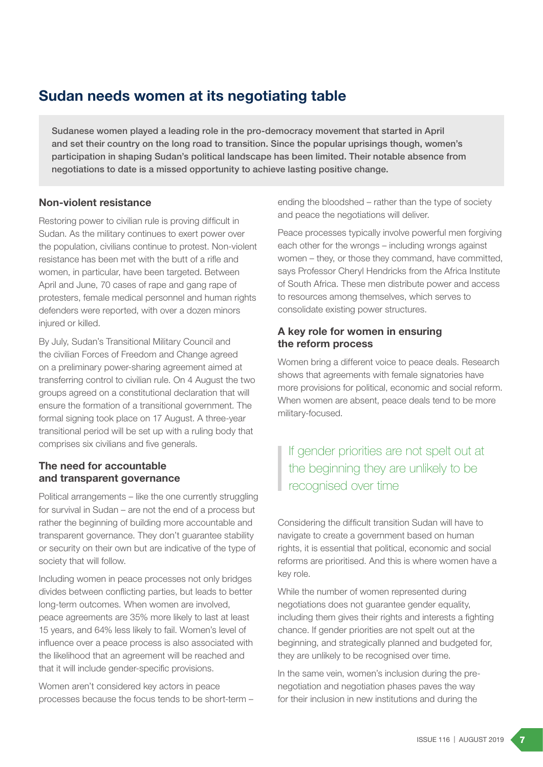## Sudan needs women at its negotiating table

Sudanese women played a leading role in the pro-democracy movement that started in April and set their country on the long road to transition. Since the popular uprisings though, women's participation in shaping Sudan's political landscape has been limited. Their notable absence from negotiations to date is a missed opportunity to achieve lasting positive change.

### Non-violent resistance

Restoring power to civilian rule is proving difficult in Sudan. As the military continues to exert power over the population, civilians continue to protest. Non-violent resistance has been met with the butt of a rifle and women, in particular, have been targeted. Between April and June, 70 cases of rape and gang rape of protesters, female medical personnel and human rights defenders were reported, with over a dozen minors injured or killed.

By July, Sudan's Transitional Military Council and the civilian Forces of Freedom and Change agreed on a preliminary power-sharing agreement aimed at transferring control to civilian rule. On 4 August the two groups agreed on a constitutional declaration that will ensure the formation of a transitional government. The formal signing took place on 17 August. A three-year transitional period will be set up with a ruling body that comprises six civilians and five generals.

### The need for accountable and transparent governance

Political arrangements – like the one currently struggling for survival in Sudan – are not the end of a process but rather the beginning of building more accountable and transparent governance. They don't guarantee stability or security on their own but are indicative of the type of society that will follow.

Including women in peace processes not only bridges divides between conflicting parties, but leads to better long-term outcomes. When women are involved, peace agreements are 35% more likely to last at least 15 years, and 64% less likely to fail. Women's level of influence over a peace process is also associated with the likelihood that an agreement will be reached and that it will include gender-specific provisions.

Women aren't considered key actors in peace processes because the focus tends to be short-term – ending the bloodshed – rather than the type of society and peace the negotiations will deliver.

Peace processes typically involve powerful men forgiving each other for the wrongs – including wrongs against women – they, or those they command, have committed, says Professor Cheryl Hendricks from the Africa Institute of South Africa. These men distribute power and access to resources among themselves, which serves to consolidate existing power structures.

### A key role for women in ensuring the reform process

Women bring a different voice to peace deals. Research shows that agreements with female signatories have more provisions for political, economic and social reform. When women are absent, peace deals tend to be more military-focused.

### If gender priorities are not spelt out at the beginning they are unlikely to be recognised over time

Considering the difficult transition Sudan will have to navigate to create a government based on human rights, it is essential that political, economic and social reforms are prioritised. And this is where women have a key role.

While the number of women represented during negotiations does not guarantee gender equality, including them gives their rights and interests a fighting chance. If gender priorities are not spelt out at the beginning, and strategically planned and budgeted for, they are unlikely to be recognised over time.

In the same vein, women's inclusion during the prenegotiation and negotiation phases paves the way for their inclusion in new institutions and during the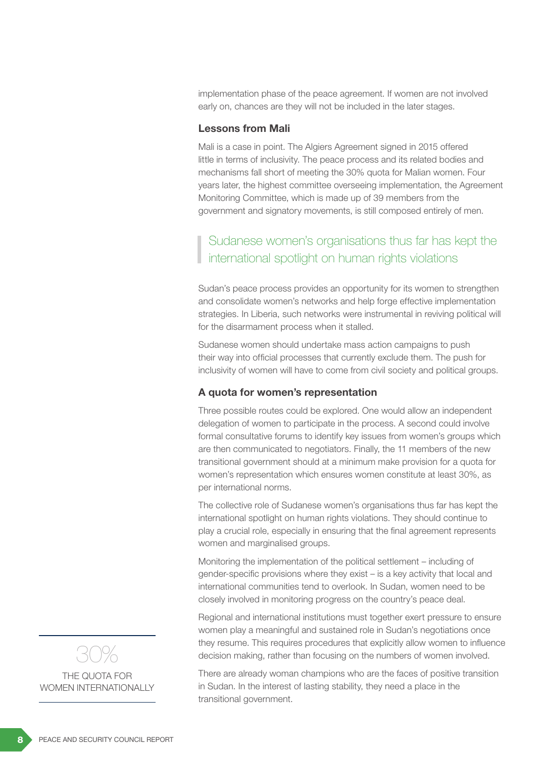implementation phase of the peace agreement. If women are not involved early on, chances are they will not be included in the later stages.

#### Lessons from Mali

Mali is a case in point. The Algiers Agreement signed in 2015 offered little in terms of inclusivity. The peace process and its related bodies and mechanisms fall short of meeting the 30% quota for Malian women. Four years later, the highest committee overseeing implementation, the Agreement Monitoring Committee, which is made up of 39 members from the government and signatory movements, is still composed entirely of men.

### Sudanese women's organisations thus far has kept the international spotlight on human rights violations

Sudan's peace process provides an opportunity for its women to strengthen and consolidate women's networks and help forge effective implementation strategies. In Liberia, such networks were instrumental in reviving political will for the disarmament process when it stalled.

Sudanese women should undertake mass action campaigns to push their way into official processes that currently exclude them. The push for inclusivity of women will have to come from civil society and political groups.

#### A quota for women's representation

Three possible routes could be explored. One would allow an independent delegation of women to participate in the process. A second could involve formal consultative forums to identify key issues from women's groups which are then communicated to negotiators. Finally, the 11 members of the new transitional government should at a minimum make provision for a quota for women's representation which ensures women constitute at least 30%, as per international norms.

The collective role of Sudanese women's organisations thus far has kept the international spotlight on human rights violations. They should continue to play a crucial role, especially in ensuring that the final agreement represents women and marginalised groups.

Monitoring the implementation of the political settlement – including of gender-specific provisions where they exist – is a key activity that local and international communities tend to overlook. In Sudan, women need to be closely involved in monitoring progress on the country's peace deal.

Regional and international institutions must together exert pressure to ensure women play a meaningful and sustained role in Sudan's negotiations once they resume. This requires procedures that explicitly allow women to influence decision making, rather than focusing on the numbers of women involved.

There are already woman champions who are the faces of positive transition in Sudan. In the interest of lasting stability, they need a place in the transitional government.



THE QUOTA FOR WOMEN INTERNATIONALLY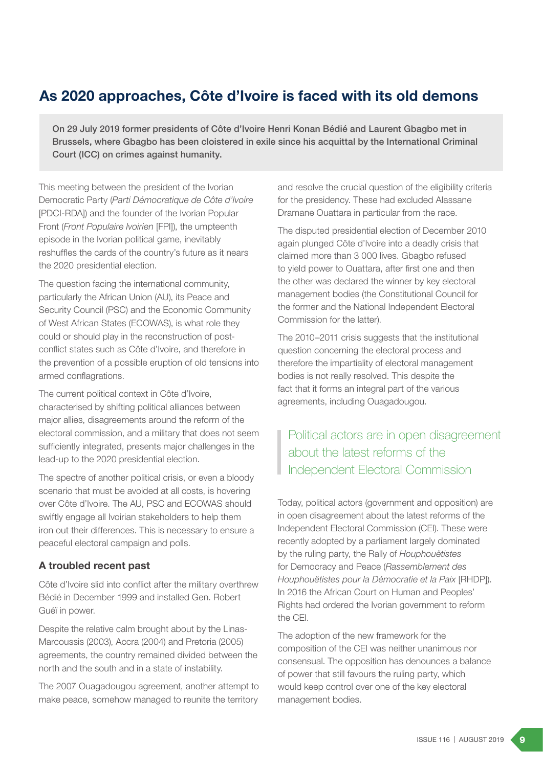# As 2020 approaches, Côte d'Ivoire is faced with its old demons

On 29 July 2019 former presidents of Côte d'Ivoire Henri Konan Bédié and Laurent Gbagbo met in Brussels, where Gbagbo has been cloistered in exile since his acquittal by the International Criminal Court (ICC) on crimes against humanity.

This meeting between the president of the Ivorian Democratic Party (*Parti Démocratique de Côte d'Ivoire* [PDCI-RDA]) and the founder of the Ivorian Popular Front (*Front Populaire Ivoirien* [FPI]), the umpteenth episode in the Ivorian political game, inevitably reshuffles the cards of the country's future as it nears the 2020 presidential election.

The question facing the international community, particularly the African Union (AU), its Peace and Security Council (PSC) and the Economic Community of West African States (ECOWAS), is what role they could or should play in the reconstruction of postconflict states such as Côte d'Ivoire, and therefore in the prevention of a possible eruption of old tensions into armed conflagrations.

The current political context in Côte d'Ivoire, characterised by shifting political alliances between major allies, disagreements around the reform of the electoral commission, and a military that does not seem sufficiently integrated, presents major challenges in the lead-up to the 2020 presidential election.

The spectre of another political crisis, or even a bloody scenario that must be avoided at all costs, is hovering over Côte d'Ivoire. The AU, PSC and ECOWAS should swiftly engage all Ivoirian stakeholders to help them iron out their differences. This is necessary to ensure a peaceful electoral campaign and polls.

### A troubled recent past

Côte d'Ivoire slid into conflict after the military overthrew Bédié in December 1999 and installed Gen. Robert Guéï in power.

Despite the relative calm brought about by the Linas-Marcoussis (2003), Accra (2004) and Pretoria (2005) agreements, the country remained divided between the north and the south and in a state of instability.

The 2007 Ouagadougou agreement, another attempt to make peace, somehow managed to reunite the territory

and resolve the crucial question of the eligibility criteria for the presidency. These had excluded Alassane Dramane Ouattara in particular from the race.

The disputed presidential election of December 2010 again plunged Côte d'Ivoire into a deadly crisis that claimed more than 3 000 lives. Gbagbo refused to yield power to Ouattara, after first one and then the other was declared the winner by key electoral management bodies (the Constitutional Council for the former and the National Independent Electoral Commission for the latter).

The 2010–2011 crisis suggests that the institutional question concerning the electoral process and therefore the impartiality of electoral management bodies is not really resolved. This despite the fact that it forms an integral part of the various agreements, including Ouagadougou.

### Political actors are in open disagreement about the latest reforms of the Independent Electoral Commission

Today, political actors (government and opposition) are in open disagreement about the latest reforms of the Independent Electoral Commission (CEI). These were recently adopted by a parliament largely dominated by the ruling party, the Rally of *Houphouëtistes* for Democracy and Peace (*Rassemblement des Houphouëtistes pour la Démocratie et la Paix* [RHDP]). In 2016 the African Court on Human and Peoples' Rights had ordered the Ivorian government to reform the CEI.

The adoption of the new framework for the composition of the CEI was neither unanimous nor consensual. The opposition has denounces a balance of power that still favours the ruling party, which would keep control over one of the key electoral management bodies.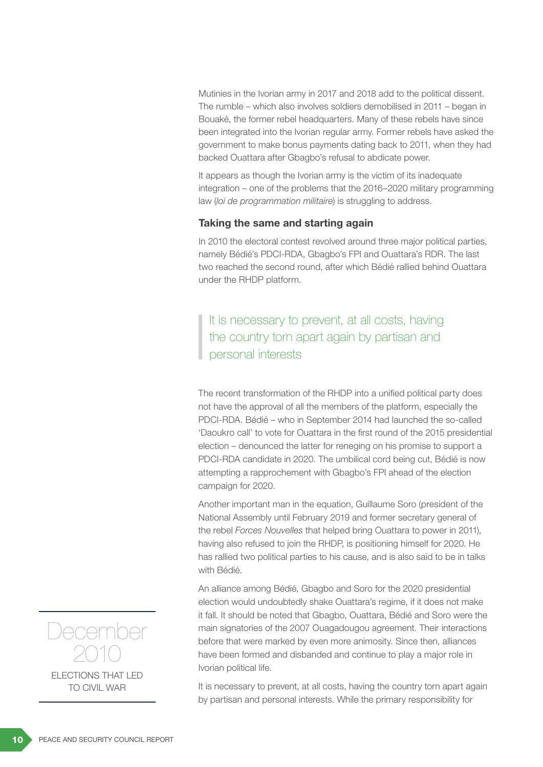Mutinies in the Ivorian army in 2017 and 2018 add to the political dissent. The rumble – which also involves soldiers demobilised in 2011 – began in Bouaké, the former rebel headquarters. Many of these rebels have since been integrated into the Ivorian regular army. Former rebels have asked the government to make bonus payments dating back to 2011, when they had backed Ouattara after Gbagbo's refusal to abdicate power.

It appears as though the Ivorian army is the victim of its inadequate integration – one of the problems that the 2016–2020 military programming law (*loi de programmation militaire*) is struggling to address.

#### Taking the same and starting again

In 2010 the electoral contest revolved around three major political parties, namely Bédié's PDCI-RDA, Gbagbo's FPI and Ouattara's RDR. The last two reached the second round, after which Bédié rallied behind Ouattara under the RHDP platform.

It is necessary to prevent, at all costs, having the country torn apart again by partisan and personal interests

The recent transformation of the RHDP into a unified political party does not have the approval of all the members of the platform, especially the PDCI-RDA. Bédié – who in September 2014 had launched the so-called 'Daoukro call' to vote for Ouattara in the first round of the 2015 presidential election – denounced the latter for reneging on his promise to support a PDCI-RDA candidate in 2020. The umbilical cord being cut, Bédié is now attempting a rapprochement with Gbagbo's FPI ahead of the election campaign for 2020.

Another important man in the equation, Guillaume Soro (president of the National Assembly until February 2019 and former secretary general of the rebel *Forces Nouvelles* that helped bring Ouattara to power in 2011), having also refused to join the RHDP, is positioning himself for 2020. He has rallied two political parties to his cause, and is also said to be in talks with Bédié.

An alliance among Bédié, Gbagbo and Soro for the 2020 presidential election would undoubtedly shake Ouattara's regime, if it does not make it fall. It should be noted that Gbagbo, Ouattara, Bédié and Soro were the main signatories of the 2007 Ouagadougou agreement. Their interactions before that were marked by even more animosity. Since then, alliances have been formed and disbanded and continue to play a major role in Ivorian political life.

It is necessary to prevent, at all costs, having the country torn apart again by partisan and personal interests. While the primary responsibility for

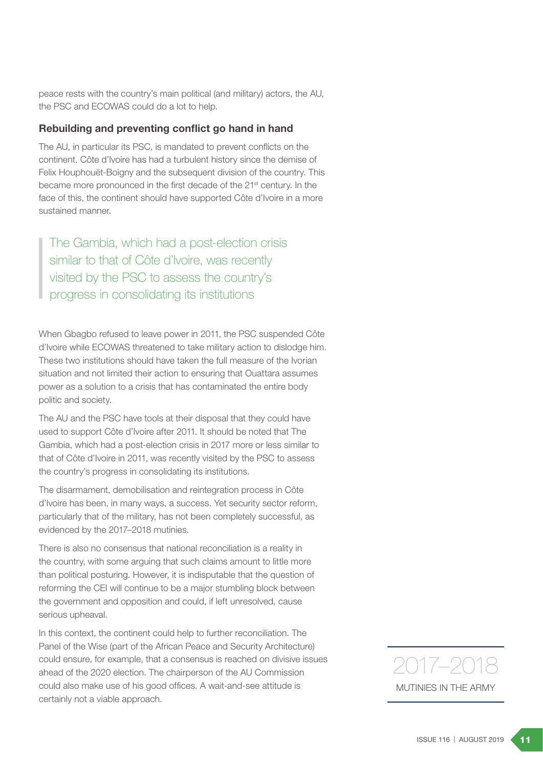peace rests with the country's main political (and military) actors, the AU, the PSC and ECOWAS could do a lot to help.

#### Rebuilding and preventing conflict go hand in hand

The AU, in particular its PSC, is mandated to prevent conflicts on the continent. Côte d'Ivoire has had a turbulent history since the demise of Felix Houphouët-Boigny and the subsequent division of the country. This became more pronounced in the first decade of the 21<sup>st</sup> century. In the face of this, the continent should have supported Côte d'Ivoire in a more sustained manner.

The Gambia, which had a post-election crisis similar to that of Côte d'Ivoire, was recently visited by the PSC to assess the country's progress in consolidating its institutions

When Gbagbo refused to leave power in 2011, the PSC suspended Côte d'Ivoire while ECOWAS threatened to take military action to dislodge him. These two institutions should have taken the full measure of the Ivorian situation and not limited their action to ensuring that Ouattara assumes power as a solution to a crisis that has contaminated the entire body politic and society.

The AU and the PSC have tools at their disposal that they could have used to support Côte d'Ivoire after 2011. It should be noted that The Gambia, which had a post-election crisis in 2017 more or less similar to that of Côte d'Ivoire in 2011, was recently visited by the PSC to assess the country's progress in consolidating its institutions.

The disarmament, demobilisation and reintegration process in Côte d'Ivoire has been, in many ways, a success. Yet security sector reform, particularly that of the military, has not been completely successful, as evidenced by the 2017–2018 mutinies.

There is also no consensus that national reconciliation is a reality in the country, with some arguing that such claims amount to little more than political posturing. However, it is indisputable that the question of reforming the CEI will continue to be a major stumbling block between the government and opposition and could, if left unresolved, cause serious upheaval.

In this context, the continent could help to further reconciliation. The Panel of the Wise (part of the African Peace and Security Architecture) could ensure, for example, that a consensus is reached on divisive issues ahead of the 2020 election. The chairperson of the AU Commission could also make use of his good offices. A wait-and-see attitude is certainly not a viable approach.

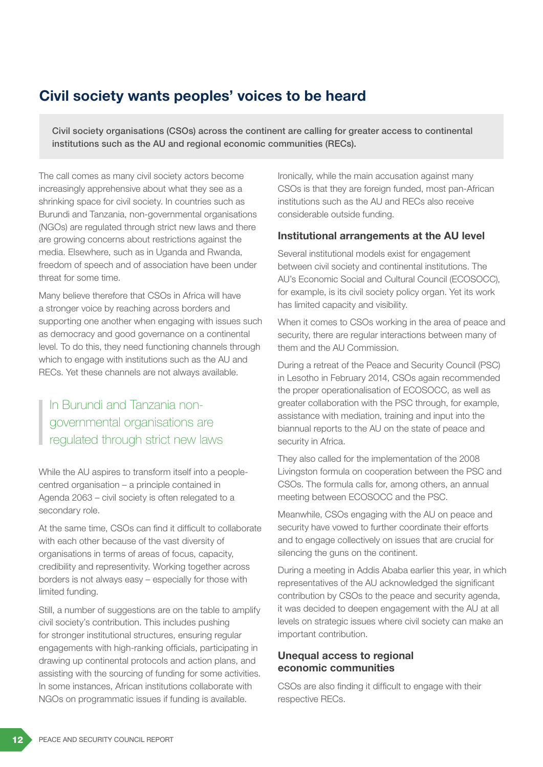### Civil society wants peoples' voices to be heard

Civil society organisations (CSOs) across the continent are calling for greater access to continental institutions such as the AU and regional economic communities (RECs).

The call comes as many civil society actors become increasingly apprehensive about what they see as a shrinking space for civil society. In countries such as Burundi and Tanzania, non-governmental organisations (NGOs) are regulated through strict new laws and there are growing concerns about restrictions against the media. Elsewhere, such as in Uganda and Rwanda, freedom of speech and of association have been under threat for some time.

Many believe therefore that CSOs in Africa will have a stronger voice by reaching across borders and supporting one another when engaging with issues such as democracy and good governance on a continental level. To do this, they need functioning channels through which to engage with institutions such as the AU and RECs. Yet these channels are not always available.

In Burundi and Tanzania nongovernmental organisations are regulated through strict new laws

While the AU aspires to transform itself into a peoplecentred organisation – a principle contained in Agenda 2063 – civil society is often relegated to a secondary role.

At the same time, CSOs can find it difficult to collaborate with each other because of the vast diversity of organisations in terms of areas of focus, capacity, credibility and representivity. Working together across borders is not always easy – especially for those with limited funding.

Still, a number of suggestions are on the table to amplify civil society's contribution. This includes pushing for stronger institutional structures, ensuring regular engagements with high-ranking officials, participating in drawing up continental protocols and action plans, and assisting with the sourcing of funding for some activities. In some instances, African institutions collaborate with NGOs on programmatic issues if funding is available.

Ironically, while the main accusation against many CSOs is that they are foreign funded, most pan-African institutions such as the AU and RECs also receive considerable outside funding.

#### Institutional arrangements at the AU level

Several institutional models exist for engagement between civil society and continental institutions. The AU's Economic Social and Cultural Council (ECOSOCC), for example, is its civil society policy organ. Yet its work has limited capacity and visibility.

When it comes to CSOs working in the area of peace and security, there are regular interactions between many of them and the AU Commission.

During a retreat of the Peace and Security Council (PSC) in Lesotho in February 2014, CSOs again recommended the proper operationalisation of ECOSOCC, as well as greater collaboration with the PSC through, for example, assistance with mediation, training and input into the biannual reports to the AU on the state of peace and security in Africa.

They also called for the implementation of the 2008 Livingston formula on cooperation between the PSC and CSOs. The formula calls for, among others, an annual meeting between ECOSOCC and the PSC.

Meanwhile, CSOs engaging with the AU on peace and security have vowed to further coordinate their efforts and to engage collectively on issues that are crucial for silencing the guns on the continent.

During a meeting in Addis Ababa earlier this year, in which representatives of the AU acknowledged the significant contribution by CSOs to the peace and security agenda, it was decided to deepen engagement with the AU at all levels on strategic issues where civil society can make an important contribution.

#### Unequal access to regional economic communities

CSOs are also finding it difficult to engage with their respective RECs.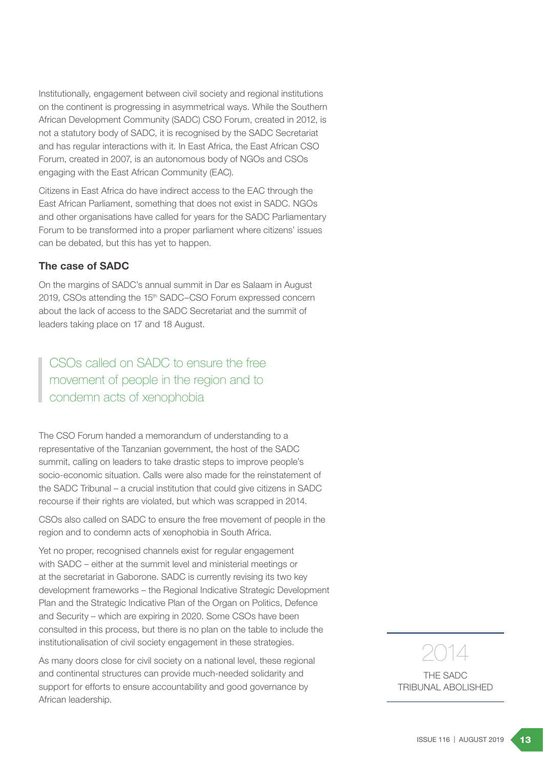Institutionally, engagement between civil society and regional institutions on the continent is progressing in asymmetrical ways. While the Southern African Development Community (SADC) CSO Forum, created in 2012, is not a statutory body of SADC, it is recognised by the SADC Secretariat and has regular interactions with it. In East Africa, the East African CSO Forum, created in 2007, is an autonomous body of NGOs and CSOs engaging with the East African Community (EAC).

Citizens in East Africa do have indirect access to the EAC through the East African Parliament, something that does not exist in SADC. NGOs and other organisations have called for years for the SADC Parliamentary Forum to be transformed into a proper parliament where citizens' issues can be debated, but this has yet to happen.

### The case of SADC

On the margins of SADC's annual summit in Dar es Salaam in August 2019, CSOs attending the 15<sup>th</sup> SADC–CSO Forum expressed concern about the lack of access to the SADC Secretariat and the summit of leaders taking place on 17 and 18 August.

### CSOs called on SADC to ensure the free movement of people in the region and to condemn acts of xenophobia

The CSO Forum handed a memorandum of understanding to a representative of the Tanzanian government, the host of the SADC summit, calling on leaders to take drastic steps to improve people's socio-economic situation. Calls were also made for the reinstatement of the SADC Tribunal – a crucial institution that could give citizens in SADC recourse if their rights are violated, but which was scrapped in 2014.

CSOs also called on SADC to ensure the free movement of people in the region and to condemn acts of xenophobia in South Africa.

Yet no proper, recognised channels exist for regular engagement with SADC – either at the summit level and ministerial meetings or at the secretariat in Gaborone. SADC is currently revising its two key development frameworks – the Regional Indicative Strategic Development Plan and the Strategic Indicative Plan of the Organ on Politics, Defence and Security – which are expiring in 2020. Some CSOs have been consulted in this process, but there is no plan on the table to include the institutionalisation of civil society engagement in these strategies.

As many doors close for civil society on a national level, these regional and continental structures can provide much-needed solidarity and support for efforts to ensure accountability and good governance by African leadership.

# 2014

THE SADC TRIBUNAL ABOLISHED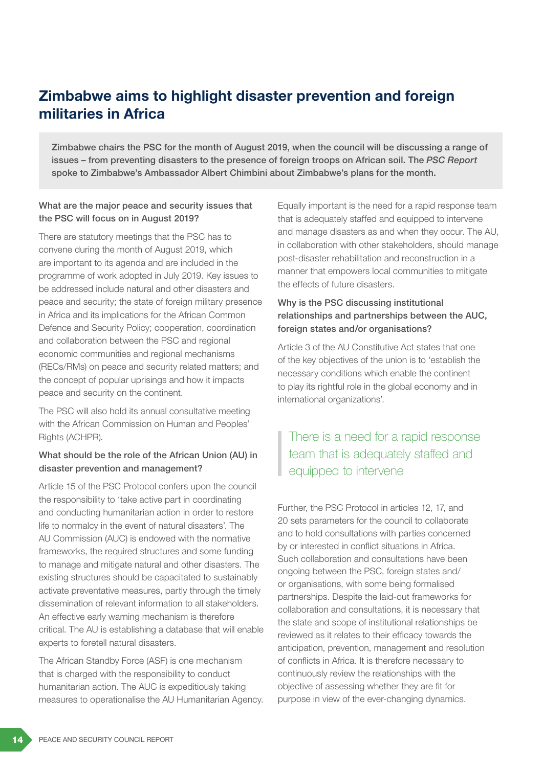# Zimbabwe aims to highlight disaster prevention and foreign militaries in Africa

Zimbabwe chairs the PSC for the month of August 2019, when the council will be discussing a range of issues – from preventing disasters to the presence of foreign troops on African soil. The *PSC Report* spoke to Zimbabwe's Ambassador Albert Chimbini about Zimbabwe's plans for the month.

### What are the major peace and security issues that the PSC will focus on in August 2019?

There are statutory meetings that the PSC has to convene during the month of August 2019, which are important to its agenda and are included in the programme of work adopted in July 2019. Key issues to be addressed include natural and other disasters and peace and security; the state of foreign military presence in Africa and its implications for the African Common Defence and Security Policy; cooperation, coordination and collaboration between the PSC and regional economic communities and regional mechanisms (RECs/RMs) on peace and security related matters; and the concept of popular uprisings and how it impacts peace and security on the continent.

The PSC will also hold its annual consultative meeting with the African Commission on Human and Peoples' Rights (ACHPR).

### What should be the role of the African Union (AU) in disaster prevention and management?

Article 15 of the PSC Protocol confers upon the council the responsibility to 'take active part in coordinating and conducting humanitarian action in order to restore life to normalcy in the event of natural disasters'. The AU Commission (AUC) is endowed with the normative frameworks, the required structures and some funding to manage and mitigate natural and other disasters. The existing structures should be capacitated to sustainably activate preventative measures, partly through the timely dissemination of relevant information to all stakeholders. An effective early warning mechanism is therefore critical. The AU is establishing a database that will enable experts to foretell natural disasters.

The African Standby Force (ASF) is one mechanism that is charged with the responsibility to conduct humanitarian action. The AUC is expeditiously taking measures to operationalise the AU Humanitarian Agency.

Equally important is the need for a rapid response team that is adequately staffed and equipped to intervene and manage disasters as and when they occur. The AU, in collaboration with other stakeholders, should manage post-disaster rehabilitation and reconstruction in a manner that empowers local communities to mitigate the effects of future disasters.

### Why is the PSC discussing institutional relationships and partnerships between the AUC, foreign states and/or organisations?

Article 3 of the AU Constitutive Act states that one of the key objectives of the union is to 'establish the necessary conditions which enable the continent to play its rightful role in the global economy and in international organizations'.

## There is a need for a rapid response team that is adequately staffed and equipped to intervene

Further, the PSC Protocol in articles 12, 17, and 20 sets parameters for the council to collaborate and to hold consultations with parties concerned by or interested in conflict situations in Africa. Such collaboration and consultations have been ongoing between the PSC, foreign states and/ or organisations, with some being formalised partnerships. Despite the laid-out frameworks for collaboration and consultations, it is necessary that the state and scope of institutional relationships be reviewed as it relates to their efficacy towards the anticipation, prevention, management and resolution of conflicts in Africa. It is therefore necessary to continuously review the relationships with the objective of assessing whether they are fit for purpose in view of the ever-changing dynamics.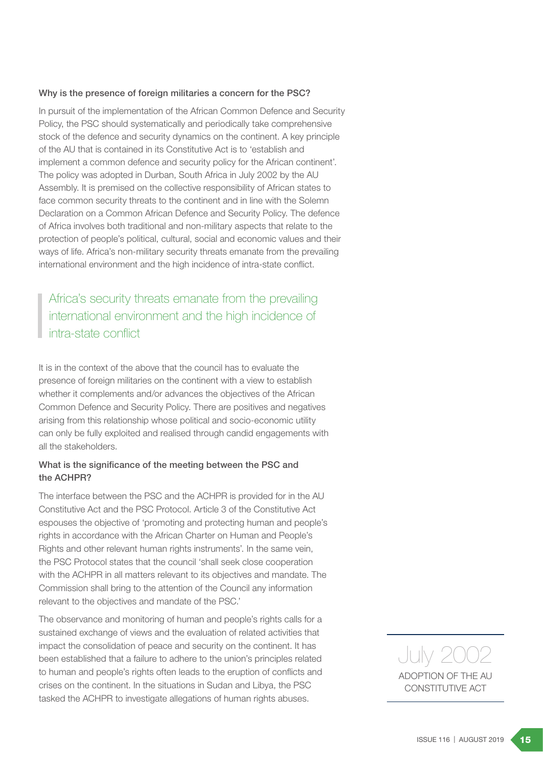#### Why is the presence of foreign militaries a concern for the PSC?

In pursuit of the implementation of the African Common Defence and Security Policy, the PSC should systematically and periodically take comprehensive stock of the defence and security dynamics on the continent. A key principle of the AU that is contained in its Constitutive Act is to 'establish and implement a common defence and security policy for the African continent'. The policy was adopted in Durban, South Africa in July 2002 by the AU Assembly. It is premised on the collective responsibility of African states to face common security threats to the continent and in line with the Solemn Declaration on a Common African Defence and Security Policy. The defence of Africa involves both traditional and non-military aspects that relate to the protection of people's political, cultural, social and economic values and their ways of life. Africa's non-military security threats emanate from the prevailing international environment and the high incidence of intra-state conflict.

### Africa's security threats emanate from the prevailing international environment and the high incidence of intra-state conflict

It is in the context of the above that the council has to evaluate the presence of foreign militaries on the continent with a view to establish whether it complements and/or advances the objectives of the African Common Defence and Security Policy. There are positives and negatives arising from this relationship whose political and socio-economic utility can only be fully exploited and realised through candid engagements with all the stakeholders.

#### What is the significance of the meeting between the PSC and the ACHPR?

The interface between the PSC and the ACHPR is provided for in the AU Constitutive Act and the PSC Protocol. Article 3 of the Constitutive Act espouses the objective of 'promoting and protecting human and people's rights in accordance with the African Charter on Human and People's Rights and other relevant human rights instruments'. In the same vein, the PSC Protocol states that the council 'shall seek close cooperation with the ACHPR in all matters relevant to its objectives and mandate. The Commission shall bring to the attention of the Council any information relevant to the objectives and mandate of the PSC.'

The observance and monitoring of human and people's rights calls for a sustained exchange of views and the evaluation of related activities that impact the consolidation of peace and security on the continent. It has been established that a failure to adhere to the union's principles related to human and people's rights often leads to the eruption of conflicts and crises on the continent. In the situations in Sudan and Libya, the PSC tasked the ACHPR to investigate allegations of human rights abuses.

ADOPTION OF THE AU CONSTITUTIVE ACT July 2002